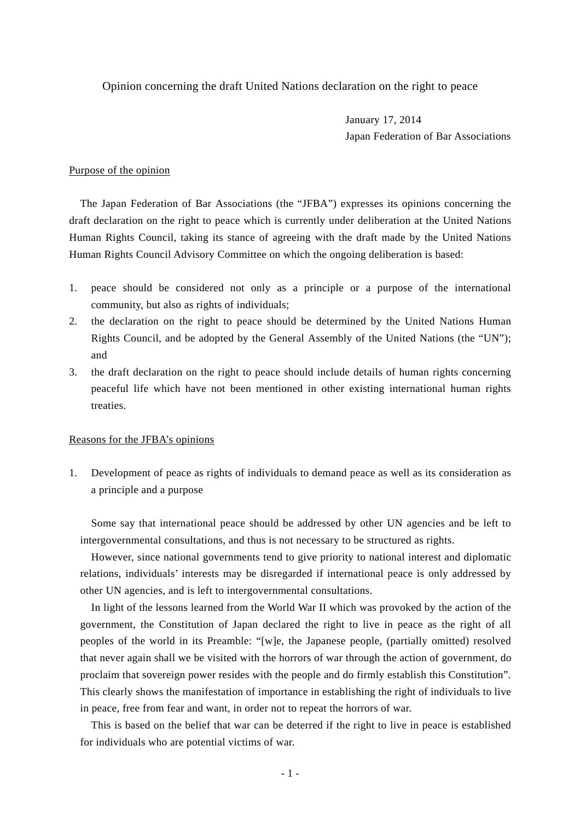Opinion concerning the draft United Nations declaration on the right to peace

January 17, 2014 Japan Federation of Bar Associations

## Purpose of the opinion

The Japan Federation of Bar Associations (the "JFBA") expresses its opinions concerning the draft declaration on the right to peace which is currently under deliberation at the United Nations Human Rights Council, taking its stance of agreeing with the draft made by the United Nations Human Rights Council Advisory Committee on which the ongoing deliberation is based:

- 1. peace should be considered not only as a principle or a purpose of the international community, but also as rights of individuals;
- 2. the declaration on the right to peace should be determined by the United Nations Human Rights Council, and be adopted by the General Assembly of the United Nations (the "UN"); and
- 3. the draft declaration on the right to peace should include details of human rights concerning peaceful life which have not been mentioned in other existing international human rights treaties.

## Reasons for the JFBA's opinions

1. Development of peace as rights of individuals to demand peace as well as its consideration as a principle and a purpose

Some say that international peace should be addressed by other UN agencies and be left to intergovernmental consultations, and thus is not necessary to be structured as rights.

However, since national governments tend to give priority to national interest and diplomatic relations, individuals' interests may be disregarded if international peace is only addressed by other UN agencies, and is left to intergovernmental consultations.

In light of the lessons learned from the World War II which was provoked by the action of the government, the Constitution of Japan declared the right to live in peace as the right of all peoples of the world in its Preamble: "[w]e, the Japanese people, (partially omitted) resolved that never again shall we be visited with the horrors of war through the action of government, do proclaim that sovereign power resides with the people and do firmly establish this Constitution". This clearly shows the manifestation of importance in establishing the right of individuals to live in peace, free from fear and want, in order not to repeat the horrors of war.

This is based on the belief that war can be deterred if the right to live in peace is established for individuals who are potential victims of war.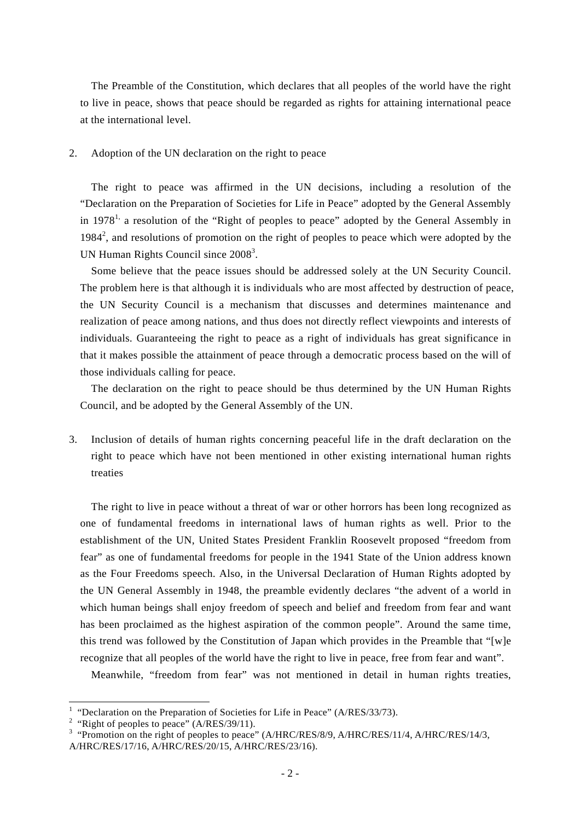The Preamble of the Constitution, which declares that all peoples of the world have the right to live in peace, shows that peace should be regarded as rights for attaining international peace at the international level.

## 2. Adoption of the UN declaration on the right to peace

The right to peace was affirmed in the UN decisions, including a resolution of the "Declaration on the Preparation of Societies for Life in Peace" adopted by the General Assembly in  $1978<sup>1</sup>$ , a resolution of the "Right of peoples to peace" adopted by the General Assembly in  $1984<sup>2</sup>$ , and resolutions of promotion on the right of peoples to peace which were adopted by the UN Human Rights Council since 2008<sup>3</sup>.

Some believe that the peace issues should be addressed solely at the UN Security Council. The problem here is that although it is individuals who are most affected by destruction of peace, the UN Security Council is a mechanism that discusses and determines maintenance and realization of peace among nations, and thus does not directly reflect viewpoints and interests of individuals. Guaranteeing the right to peace as a right of individuals has great significance in that it makes possible the attainment of peace through a democratic process based on the will of those individuals calling for peace.

The declaration on the right to peace should be thus determined by the UN Human Rights Council, and be adopted by the General Assembly of the UN.

3. Inclusion of details of human rights concerning peaceful life in the draft declaration on the right to peace which have not been mentioned in other existing international human rights treaties

The right to live in peace without a threat of war or other horrors has been long recognized as one of fundamental freedoms in international laws of human rights as well. Prior to the establishment of the UN, United States President Franklin Roosevelt proposed "freedom from fear" as one of fundamental freedoms for people in the 1941 State of the Union address known as the Four Freedoms speech. Also, in the Universal Declaration of Human Rights adopted by the UN General Assembly in 1948, the preamble evidently declares "the advent of a world in which human beings shall enjoy freedom of speech and belief and freedom from fear and want has been proclaimed as the highest aspiration of the common people". Around the same time, this trend was followed by the Constitution of Japan which provides in the Preamble that "[w]e recognize that all peoples of the world have the right to live in peace, free from fear and want".

Meanwhile, "freedom from fear" was not mentioned in detail in human rights treaties,

<sup>&</sup>lt;sup>1</sup> "Declaration on the Preparation of Societies for Life in Peace" (A/RES/33/73).

<sup>&</sup>lt;sup>2</sup> "Right of peoples to peace" (A/RES/39/11).

<sup>&</sup>lt;sup>3</sup> "Promotion on the right of peoples to peace" (A/HRC/RES/8/9, A/HRC/RES/11/4, A/HRC/RES/14/3, A/HRC/RES/17/16, A/HRC/RES/20/15, A/HRC/RES/23/16).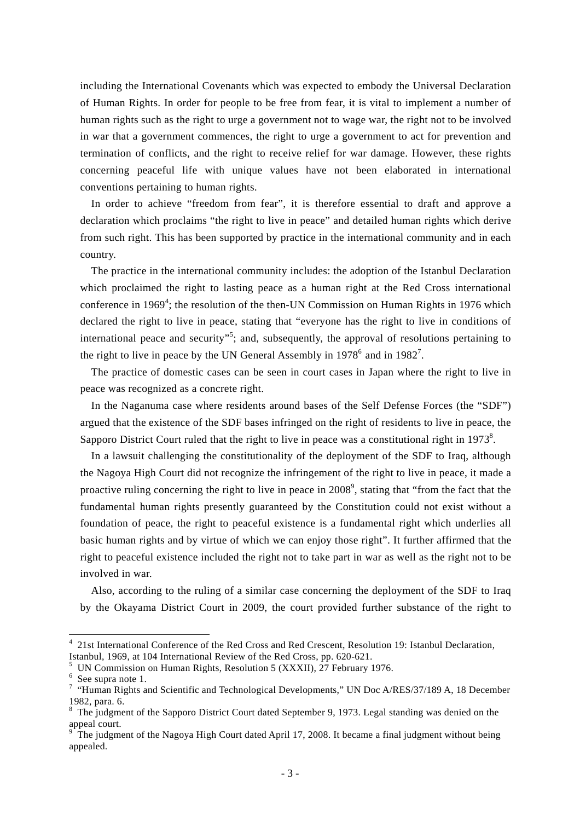including the International Covenants which was expected to embody the Universal Declaration of Human Rights. In order for people to be free from fear, it is vital to implement a number of human rights such as the right to urge a government not to wage war, the right not to be involved in war that a government commences, the right to urge a government to act for prevention and termination of conflicts, and the right to receive relief for war damage. However, these rights concerning peaceful life with unique values have not been elaborated in international conventions pertaining to human rights.

In order to achieve "freedom from fear", it is therefore essential to draft and approve a declaration which proclaims "the right to live in peace" and detailed human rights which derive from such right. This has been supported by practice in the international community and in each country.

The practice in the international community includes: the adoption of the Istanbul Declaration which proclaimed the right to lasting peace as a human right at the Red Cross international conference in 1969<sup>4</sup>; the resolution of the then-UN Commission on Human Rights in 1976 which declared the right to live in peace, stating that "everyone has the right to live in conditions of international peace and security"<sup>5</sup>; and, subsequently, the approval of resolutions pertaining to the right to live in peace by the UN General Assembly in  $1978^6$  and in  $1982^7$ .

The practice of domestic cases can be seen in court cases in Japan where the right to live in peace was recognized as a concrete right.

In the Naganuma case where residents around bases of the Self Defense Forces (the "SDF") argued that the existence of the SDF bases infringed on the right of residents to live in peace, the Sapporo District Court ruled that the right to live in peace was a constitutional right in 1973<sup>8</sup>.

In a lawsuit challenging the constitutionality of the deployment of the SDF to Iraq, although the Nagoya High Court did not recognize the infringement of the right to live in peace, it made a proactive ruling concerning the right to live in peace in  $2008^{\circ}$ , stating that "from the fact that the fundamental human rights presently guaranteed by the Constitution could not exist without a foundation of peace, the right to peaceful existence is a fundamental right which underlies all basic human rights and by virtue of which we can enjoy those right". It further affirmed that the right to peaceful existence included the right not to take part in war as well as the right not to be involved in war.

Also, according to the ruling of a similar case concerning the deployment of the SDF to Iraq by the Okayama District Court in 2009, the court provided further substance of the right to

l

<sup>4</sup> 21st International Conference of the Red Cross and Red Crescent, Resolution 19: Istanbul Declaration, Istanbul, 1969, at 104 International Review of the Red Cross, pp. 620-621.

<sup>5</sup> UN Commission on Human Rights, Resolution 5 (XXXII), 27 February 1976.

<sup>&</sup>lt;sup>6</sup> See supra note 1.

<sup>&</sup>lt;sup>7</sup> "Human Rights and Scientific and Technological Developments," UN Doc A/RES/37/189 A, 18 December 1982, para. 6.

<sup>&</sup>lt;sup>8</sup> The judgment of the Sapporo District Court dated September 9, 1973. Legal standing was denied on the appeal court.

<sup>9</sup> The judgment of the Nagoya High Court dated April 17, 2008. It became a final judgment without being appealed.